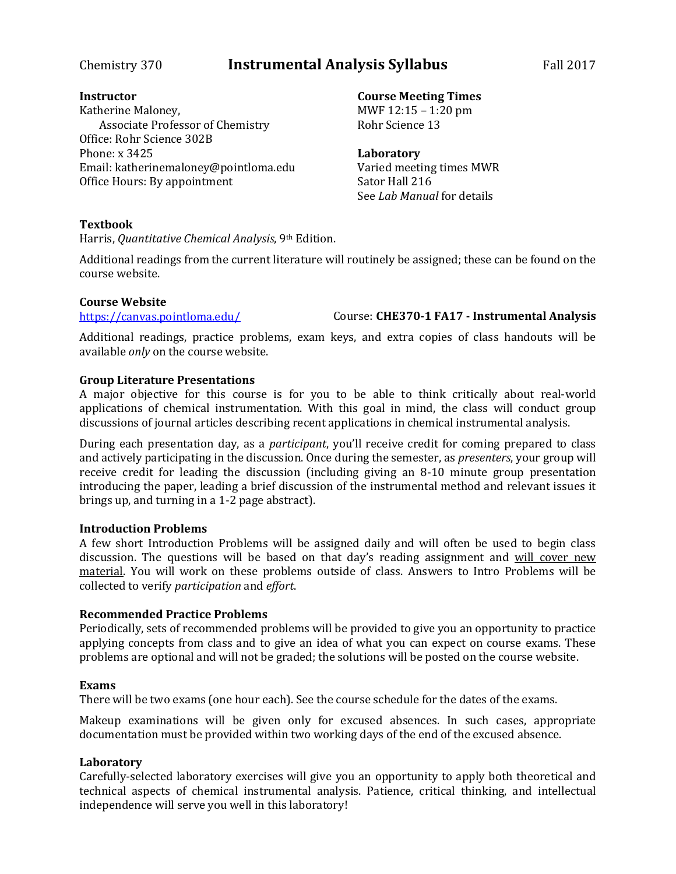## Chemistry 370 **Instrumental Analysis Syllabus** Fall 2017

#### **Instructor**

Katherine Maloney, Associate Professor of Chemistry Office: Rohr Science 302B Phone: x 3425 Email: katherinemaloney@pointloma.edu Office Hours: By appointment

#### **Course Meeting Times**

MWF 12:15 – 1:20 pm Rohr Science 13

#### **Laboratory**

Varied meeting times MWR Sator Hall 216 See *Lab Manual* for details

### **Textbook**

Harris, *Quantitative Chemical Analysis*, 9th Edition.

Additional readings from the current literature will routinely be assigned; these can be found on the course website.

#### **Course Website**

<https://canvas.pointloma.edu/> Course: **CHE370-1 FA17 - Instrumental Analysis**

Additional readings, practice problems, exam keys, and extra copies of class handouts will be available *only* on the course website.

#### **Group Literature Presentations**

A major objective for this course is for you to be able to think critically about real-world applications of chemical instrumentation. With this goal in mind, the class will conduct group discussions of journal articles describing recent applications in chemical instrumental analysis.

During each presentation day, as a *participant*, you'll receive credit for coming prepared to class and actively participating in the discussion. Once during the semester, as *presenters*, your group will receive credit for leading the discussion (including giving an 8-10 minute group presentation introducing the paper, leading a brief discussion of the instrumental method and relevant issues it brings up, and turning in a 1-2 page abstract).

#### **Introduction Problems**

A few short Introduction Problems will be assigned daily and will often be used to begin class discussion. The questions will be based on that day's reading assignment and will cover new material. You will work on these problems outside of class. Answers to Intro Problems will be collected to verify *participation* and *effort*.

### **Recommended Practice Problems**

Periodically, sets of recommended problems will be provided to give you an opportunity to practice applying concepts from class and to give an idea of what you can expect on course exams. These problems are optional and will not be graded; the solutions will be posted on the course website.

#### **Exams**

There will be two exams (one hour each). See the course schedule for the dates of the exams.

Makeup examinations will be given only for excused absences. In such cases, appropriate documentation must be provided within two working days of the end of the excused absence.

### **Laboratory**

Carefully-selected laboratory exercises will give you an opportunity to apply both theoretical and technical aspects of chemical instrumental analysis. Patience, critical thinking, and intellectual independence will serve you well in this laboratory!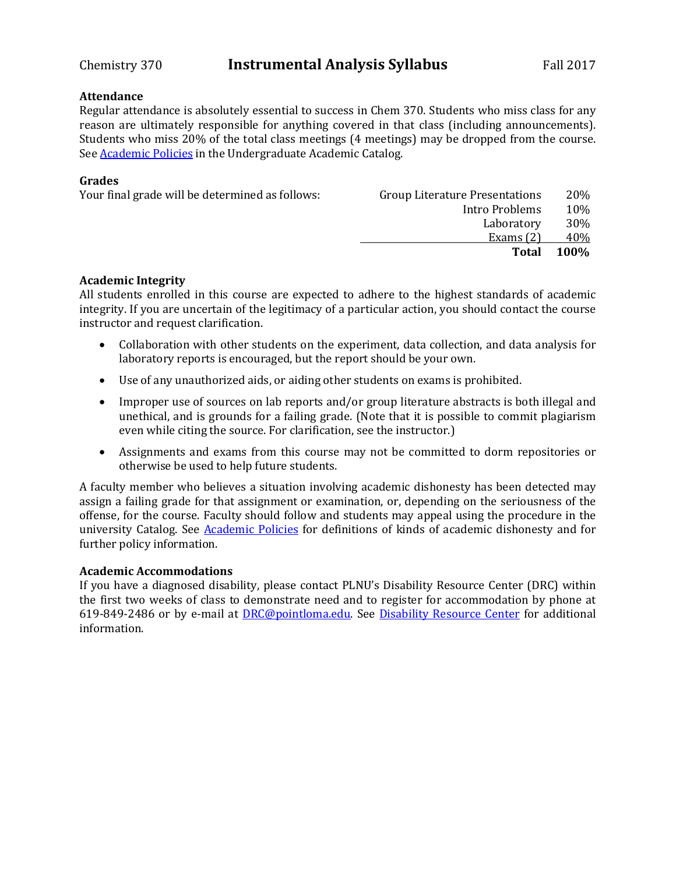#### **Attendance**

Regular attendance is absolutely essential to success in Chem 370. Students who miss class for any reason are ultimately responsible for anything covered in that class (including announcements). Students who miss 20% of the total class meetings (4 meetings) may be dropped from the course. Se[e Academic Policies](http://catalog.pointloma.edu/content.php?catoid=18&navoid=1278) in the Undergraduate Academic Catalog.

#### **Grades**

|                | 20%                                   |
|----------------|---------------------------------------|
| Intro Problems | 10%                                   |
| Laboratory     | 30%                                   |
| Exams $(2)$    | 40%                                   |
| Total          | <b>100%</b>                           |
|                | <b>Group Literature Presentations</b> |

#### **Academic Integrity**

All students enrolled in this course are expected to adhere to the highest standards of academic integrity. If you are uncertain of the legitimacy of a particular action, you should contact the course instructor and request clarification.

- Collaboration with other students on the experiment, data collection, and data analysis for laboratory reports is encouraged, but the report should be your own.
- Use of any unauthorized aids, or aiding other students on exams is prohibited.
- Improper use of sources on lab reports and/or group literature abstracts is both illegal and unethical, and is grounds for a failing grade. (Note that it is possible to commit plagiarism even while citing the source. For clarification, see the instructor.)
- Assignments and exams from this course may not be committed to dorm repositories or otherwise be used to help future students.

A faculty member who believes a situation involving academic dishonesty has been detected may assign a failing grade for that assignment or examination, or, depending on the seriousness of the offense, for the course. Faculty should follow and students may appeal using the procedure in the university Catalog. See [Academic Policies](http://catalog.pointloma.edu/content.php?catoid=18&navoid=1278) for definitions of kinds of academic dishonesty and for further policy information.

#### **Academic Accommodations**

If you have a diagnosed disability, please contact PLNU's Disability Resource Center (DRC) within the first two weeks of class to demonstrate need and to register for accommodation by phone at 619-849-2486 or by e-mail at [DRC@pointloma.edu.](mailto:DRC@pointloma.edu) See [Disability Resource Center](http://www.pointloma.edu/experience/offices/administrative-offices/academic-advising-office/disability-resource-center) for additional information.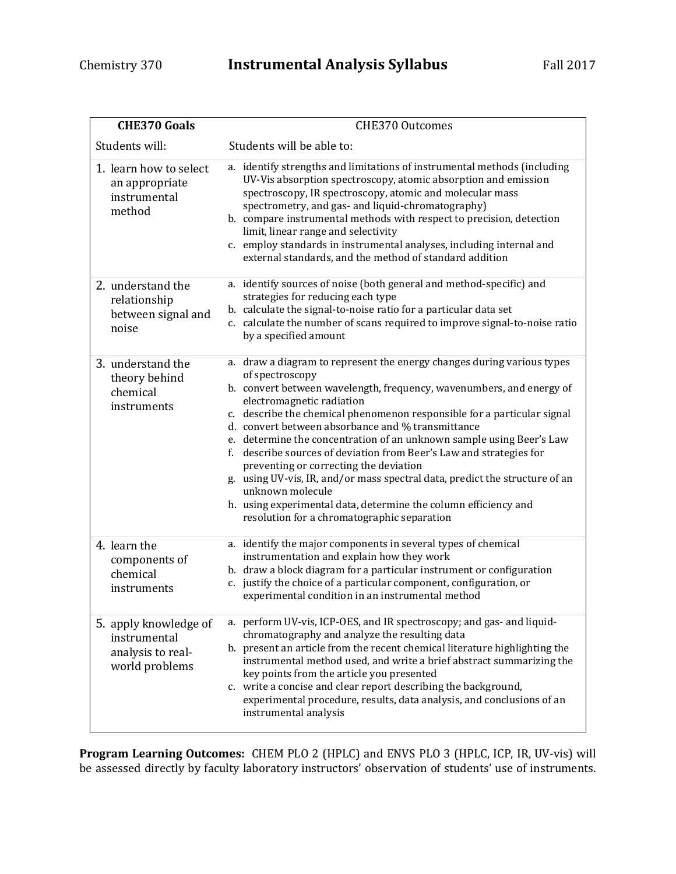| <b>CHE370 Goals</b>                                                          | <b>CHE370 Outcomes</b>                                                                                                                                                                                                                                                                                                                                                                                                                                                                                                                                                                                                                                                                                                                       |
|------------------------------------------------------------------------------|----------------------------------------------------------------------------------------------------------------------------------------------------------------------------------------------------------------------------------------------------------------------------------------------------------------------------------------------------------------------------------------------------------------------------------------------------------------------------------------------------------------------------------------------------------------------------------------------------------------------------------------------------------------------------------------------------------------------------------------------|
| Students will:                                                               | Students will be able to:                                                                                                                                                                                                                                                                                                                                                                                                                                                                                                                                                                                                                                                                                                                    |
| 1. learn how to select<br>an appropriate<br>instrumental<br>method           | a. identify strengths and limitations of instrumental methods (including<br>UV-Vis absorption spectroscopy, atomic absorption and emission<br>spectroscopy, IR spectroscopy, atomic and molecular mass<br>spectrometry, and gas- and liquid-chromatography)<br>b. compare instrumental methods with respect to precision, detection<br>limit, linear range and selectivity<br>c. employ standards in instrumental analyses, including internal and<br>external standards, and the method of standard addition                                                                                                                                                                                                                                |
| 2. understand the<br>relationship<br>between signal and<br>noise             | a. identify sources of noise (both general and method-specific) and<br>strategies for reducing each type<br>b. calculate the signal-to-noise ratio for a particular data set<br>c. calculate the number of scans required to improve signal-to-noise ratio<br>by a specified amount                                                                                                                                                                                                                                                                                                                                                                                                                                                          |
| 3. understand the<br>theory behind<br>chemical<br>instruments                | a. draw a diagram to represent the energy changes during various types<br>of spectroscopy<br>b. convert between wavelength, frequency, wavenumbers, and energy of<br>electromagnetic radiation<br>c. describe the chemical phenomenon responsible for a particular signal<br>d. convert between absorbance and % transmittance<br>e. determine the concentration of an unknown sample using Beer's Law<br>f. describe sources of deviation from Beer's Law and strategies for<br>preventing or correcting the deviation<br>g. using UV-vis, IR, and/or mass spectral data, predict the structure of an<br>unknown molecule<br>h. using experimental data, determine the column efficiency and<br>resolution for a chromatographic separation |
| 4. learn the<br>components of<br>chemical<br>instruments                     | a. identify the major components in several types of chemical<br>instrumentation and explain how they work<br>b. draw a block diagram for a particular instrument or configuration<br>c. justify the choice of a particular component, configuration, or<br>experimental condition in an instrumental method                                                                                                                                                                                                                                                                                                                                                                                                                                 |
| 5. apply knowledge of<br>instrumental<br>analysis to real-<br>world problems | a. perform UV-vis, ICP-OES, and IR spectroscopy; and gas- and liquid-<br>chromatography and analyze the resulting data<br>b. present an article from the recent chemical literature highlighting the<br>instrumental method used, and write a brief abstract summarizing the<br>key points from the article you presented<br>c. write a concise and clear report describing the background,<br>experimental procedure, results, data analysis, and conclusions of an<br>instrumental analysis                                                                                                                                                                                                                                                |

**Program Learning Outcomes:** CHEM PLO 2 (HPLC) and ENVS PLO 3 (HPLC, ICP, IR, UV-vis) will be assessed directly by faculty laboratory instructors' observation of students' use of instruments.